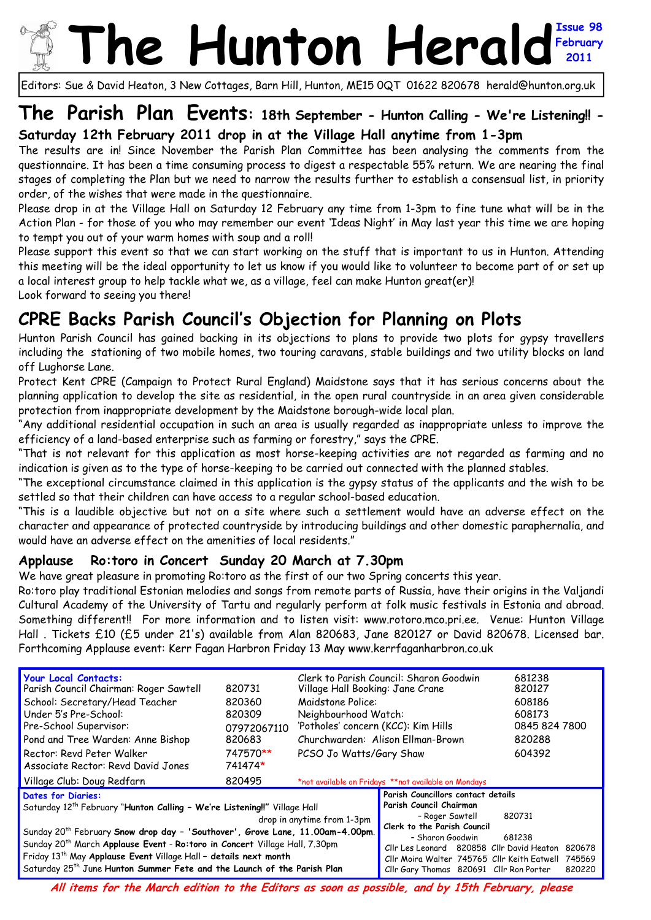# **The Hunton Heral February 2011**

Editors: Sue & David Heaton, 3 New Cottages, Barn Hill, Hunton, ME15 0QT 01622 820678 herald@hunton.org.uk

## **The Parish Plan Events: 18th September - Hunton Calling - We're Listening!! - Saturday 12th February 2011 drop in at the Village Hall anytime from 1-3pm**

The results are in! Since November the Parish Plan Committee has been analysing the comments from the questionnaire. It has been a time consuming process to digest a respectable 55% return. We are nearing the final stages of completing the Plan but we need to narrow the results further to establish a consensual list, in priority order, of the wishes that were made in the questionnaire.

Please drop in at the Village Hall on Saturday 12 February any time from 1-3pm to fine tune what will be in the Action Plan - for those of you who may remember our event 'Ideas Night' in May last year this time we are hoping to tempt you out of your warm homes with soup and a roll!

Please support this event so that we can start working on the stuff that is important to us in Hunton. Attending this meeting will be the ideal opportunity to let us know if you would like to volunteer to become part of or set up a local interest group to help tackle what we, as a village, feel can make Hunton great(er)!

Look forward to seeing you there!

## **CPRE Backs Parish Council's Objection for Planning on Plots**

Hunton Parish Council has gained backing in its objections to plans to provide two plots for gypsy travellers including the stationing of two mobile homes, two touring caravans, stable buildings and two utility blocks on land off Lughorse Lane.

Protect Kent CPRE (Campaign to Protect Rural England) Maidstone says that it has serious concerns about the planning application to develop the site as residential, in the open rural countryside in an area given considerable protection from inappropriate development by the Maidstone borough-wide local plan.

"Any additional residential occupation in such an area is usually regarded as inappropriate unless to improve the efficiency of a land-based enterprise such as farming or forestry," says the CPRE.

"That is not relevant for this application as most horse-keeping activities are not regarded as farming and no indication is given as to the type of horse-keeping to be carried out connected with the planned stables.

"The exceptional circumstance claimed in this application is the gypsy status of the applicants and the wish to be settled so that their children can have access to a regular school-based education.

"This is a laudible objective but not on a site where such a settlement would have an adverse effect on the character and appearance of protected countryside by introducing buildings and other domestic paraphernalia, and would have an adverse effect on the amenities of local residents."

### **Applause Ro:toro in Concert Sunday 20 March at 7.30pm**

We have great pleasure in promoting Ro:toro as the first of our two Spring concerts this year.

Ro:toro play traditional Estonian melodies and songs from remote parts of Russia, have their origins in the Valjandi Cultural Academy of the University of Tartu and regularly perform at folk music festivals in Estonia and abroad. Something different!! For more information and to listen visit: www.rotoro.mco.pri.ee. Venue: Hunton Village Hall . Tickets £10 (£5 under 21's) available from Alan 820683, Jane 820127 or David 820678. Licensed bar. Forthcoming Applause event: Kerr Fagan Harbron Friday 13 May www.kerrfaganharbron.co.uk

| <b>Your Local Contacts:</b><br>Parish Council Chairman: Roger Sawtell<br>School: Secretary/Head Teacher<br>Under 5's Pre-School:<br>Pre-School Supervisor:<br>Pond and Tree Warden: Anne Bishop<br>Rector: Revd Peter Walker<br>Associate Rector: Revd David Jones                                                                                                        | 820731<br>820360<br>820309<br>07972067110<br>820683<br>747570**<br>741474* | Clerk to Parish Council: Sharon Goodwin<br>Village Hall Booking: Jane Crane<br>Maidstone Police:<br>Neighbourhood Watch:<br>'Potholes' concern (KCC): Kim Hills<br>Churchwarden: Alison Ellman-Brown<br>PCSO Jo Watts/Gary Shaw |                                                                                                          | 681238<br>820127<br>608186<br>608173<br>0845 824 7800<br>820288<br>604392 |                            |
|---------------------------------------------------------------------------------------------------------------------------------------------------------------------------------------------------------------------------------------------------------------------------------------------------------------------------------------------------------------------------|----------------------------------------------------------------------------|---------------------------------------------------------------------------------------------------------------------------------------------------------------------------------------------------------------------------------|----------------------------------------------------------------------------------------------------------|---------------------------------------------------------------------------|----------------------------|
| Village Club: Doug Redfarn                                                                                                                                                                                                                                                                                                                                                | 820495                                                                     | *not available on Fridays **not available on Mondays                                                                                                                                                                            |                                                                                                          |                                                                           |                            |
| Parish Councillors contact details<br><b>Dates for Diaries:</b><br>Parish Council Chairman<br>Saturday 12 <sup>th</sup> February "Hunton Calling - We're Listening!!" Village Hall<br>- Roger Sawtell<br>820731<br>drop in anytime from 1-3pm<br>Clerk to the Parish Council<br>Sunday 20 <sup>th</sup> February Snow drop day - 'Southover', Grove Lane, 11.00am-4.00pm. |                                                                            |                                                                                                                                                                                                                                 |                                                                                                          |                                                                           |                            |
| Sunday 20 <sup>th</sup> March Applause Event - Ro:toro in Concert Village Hall, 7.30pm<br>Friday 13 <sup>th</sup> May Applause Event Village Hall - details next month<br>Saturday 25 <sup>th</sup> June Hunton Summer Fete and the Launch of the Parish Plan                                                                                                             |                                                                            |                                                                                                                                                                                                                                 | - Sharon Goodwin<br>Cllr Les Leonard 820858 Cllr David Heaton<br>Cllr Gary Thomas 820691 Cllr Ron Porter | 681238<br>Cllr Moira Walter 745765 Cllr Keith Eatwell                     | 820678<br>745569<br>820220 |

**All items for the March edition to the Editors as soon as possible, and by 15th February, please**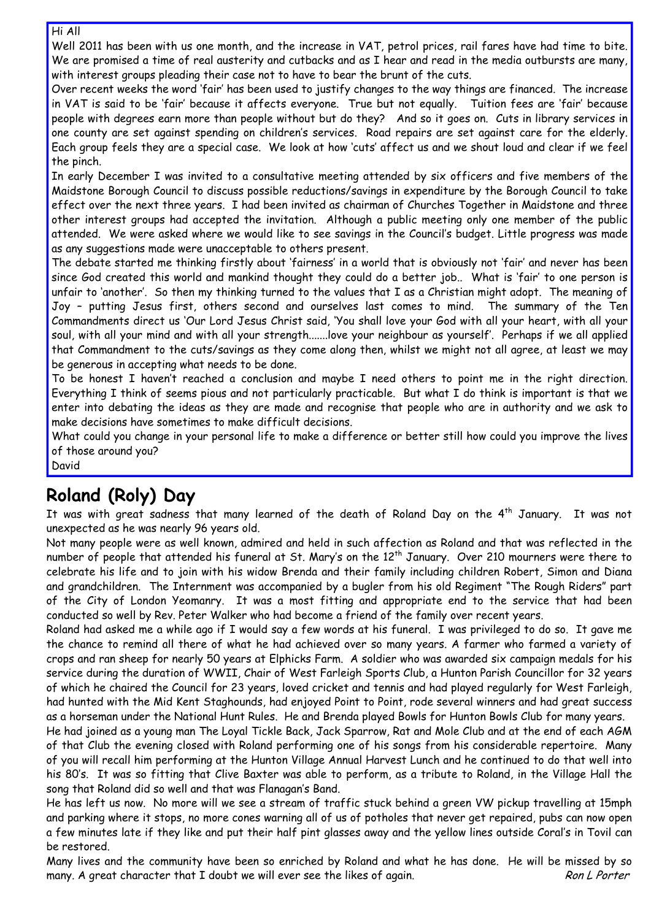#### Hi All

Well 2011 has been with us one month, and the increase in VAT, petrol prices, rail fares have had time to bite. We are promised a time of real austerity and cutbacks and as I hear and read in the media outbursts are many, with interest groups pleading their case not to have to bear the brunt of the cuts.

Over recent weeks the word 'fair' has been used to justify changes to the way things are financed. The increase in VAT is said to be 'fair' because it affects everyone. True but not equally. Tuition fees are 'fair' because people with degrees earn more than people without but do they? And so it goes on. Cuts in library services in one county are set against spending on children's services. Road repairs are set against care for the elderly. Each group feels they are a special case. We look at how 'cuts' affect us and we shout loud and clear if we feel the pinch.

In early December I was invited to a consultative meeting attended by six officers and five members of the Maidstone Borough Council to discuss possible reductions/savings in expenditure by the Borough Council to take effect over the next three years. I had been invited as chairman of Churches Together in Maidstone and three other interest groups had accepted the invitation. Although a public meeting only one member of the public attended. We were asked where we would like to see savings in the Council's budget. Little progress was made as any suggestions made were unacceptable to others present.

The debate started me thinking firstly about 'fairness' in a world that is obviously not 'fair' and never has been since God created this world and mankind thought they could do a better job.. What is 'fair' to one person is unfair to 'another'. So then my thinking turned to the values that I as a Christian might adopt. The meaning of Joy – putting Jesus first, others second and ourselves last comes to mind. The summary of the Ten Commandments direct us 'Our Lord Jesus Christ said, 'You shall love your God with all your heart, with all your soul, with all your mind and with all your strength.......love your neighbour as yourself'. Perhaps if we all applied that Commandment to the cuts/savings as they come along then, whilst we might not all agree, at least we may be generous in accepting what needs to be done.

To be honest I haven't reached a conclusion and maybe I need others to point me in the right direction. Everything I think of seems pious and not particularly practicable. But what I do think is important is that we enter into debating the ideas as they are made and recognise that people who are in authority and we ask to make decisions have sometimes to make difficult decisions.

What could you change in your personal life to make a difference or better still how could you improve the lives of those around you?

David

# **Roland (Roly) Day**

It was with great sadness that many learned of the death of Roland Day on the  $4<sup>th</sup>$  January. It was not unexpected as he was nearly 96 years old.

Not many people were as well known, admired and held in such affection as Roland and that was reflected in the number of people that attended his funeral at St. Mary's on the 12<sup>th</sup> January. Over 210 mourners were there to celebrate his life and to join with his widow Brenda and their family including children Robert, Simon and Diana and grandchildren. The Internment was accompanied by a bugler from his old Regiment "The Rough Riders" part of the City of London Yeomanry. It was a most fitting and appropriate end to the service that had been conducted so well by Rev. Peter Walker who had become a friend of the family over recent years.

Roland had asked me a while ago if I would say a few words at his funeral. I was privileged to do so. It gave me the chance to remind all there of what he had achieved over so many years. A farmer who farmed a variety of crops and ran sheep for nearly 50 years at Elphicks Farm. A soldier who was awarded six campaign medals for his service during the duration of WWII, Chair of West Farleigh Sports Club, a Hunton Parish Councillor for 32 years of which he chaired the Council for 23 years, loved cricket and tennis and had played regularly for West Farleigh, had hunted with the Mid Kent Staghounds, had enjoyed Point to Point, rode several winners and had great success as a horseman under the National Hunt Rules. He and Brenda played Bowls for Hunton Bowls Club for many years.

He had joined as a young man The Loyal Tickle Back, Jack Sparrow, Rat and Mole Club and at the end of each AGM of that Club the evening closed with Roland performing one of his songs from his considerable repertoire. Many of you will recall him performing at the Hunton Village Annual Harvest Lunch and he continued to do that well into his 80's. It was so fitting that Clive Baxter was able to perform, as a tribute to Roland, in the Village Hall the song that Roland did so well and that was Flanagan's Band.

He has left us now. No more will we see a stream of traffic stuck behind a green VW pickup travelling at 15mph and parking where it stops, no more cones warning all of us of potholes that never get repaired, pubs can now open a few minutes late if they like and put their half pint glasses away and the yellow lines outside Coral's in Tovil can be restored.

Many lives and the community have been so enriched by Roland and what he has done. He will be missed by so many. A great character that I doubt we will ever see the likes of again. Ron L Porter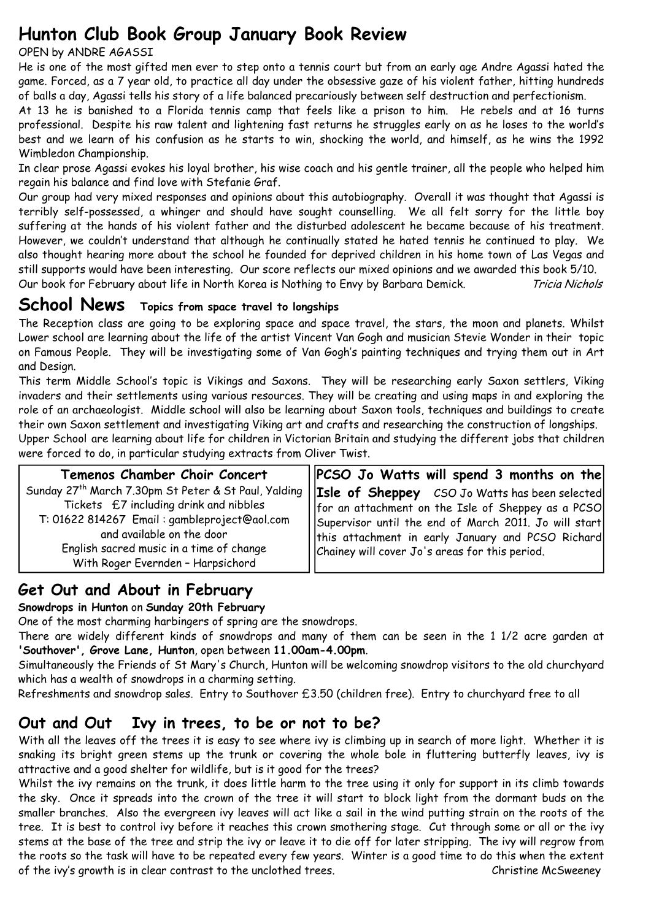## **Hunton Club Book Group January Book Review**

#### OPEN by ANDRE AGASSI

He is one of the most gifted men ever to step onto a tennis court but from an early age Andre Agassi hated the game. Forced, as a 7 year old, to practice all day under the obsessive gaze of his violent father, hitting hundreds of balls a day, Agassi tells his story of a life balanced precariously between self destruction and perfectionism.

At 13 he is banished to a Florida tennis camp that feels like a prison to him. He rebels and at 16 turns professional. Despite his raw talent and lightening fast returns he struggles early on as he loses to the world's best and we learn of his confusion as he starts to win, shocking the world, and himself, as he wins the 1992 Wimbledon Championship.

In clear prose Agassi evokes his loyal brother, his wise coach and his gentle trainer, all the people who helped him regain his balance and find love with Stefanie Graf.

Our group had very mixed responses and opinions about this autobiography. Overall it was thought that Agassi is terribly self-possessed, a whinger and should have sought counselling. We all felt sorry for the little boy suffering at the hands of his violent father and the disturbed adolescent he became because of his treatment. However, we couldn't understand that although he continually stated he hated tennis he continued to play. We also thought hearing more about the school he founded for deprived children in his home town of Las Vegas and still supports would have been interesting. Our score reflects our mixed opinions and we awarded this book 5/10. Our book for February about life in North Korea is Nothing to Envy by Barbara Demick. Tricia Nichols

## **School News Topics from space travel to longships**

The Reception class are going to be exploring space and space travel, the stars, the moon and planets. Whilst Lower school are learning about the life of the artist Vincent Van Gogh and musician Stevie Wonder in their topic on Famous People. They will be investigating some of Van Gogh's painting techniques and trying them out in Art and Design.

This term Middle School's topic is Vikings and Saxons. They will be researching early Saxon settlers, Viking invaders and their settlements using various resources. They will be creating and using maps in and exploring the role of an archaeologist. Middle school will also be learning about Saxon tools, techniques and buildings to create their own Saxon settlement and investigating Viking art and crafts and researching the construction of longships. Upper School are learning about life for children in Victorian Britain and studying the different jobs that children were forced to do, in particular studying extracts from Oliver Twist.

| Temenos Chamber Choir Concert                | $\left \right $ PCSO Jo Watts will spend 3 months on the                                                          |
|----------------------------------------------|-------------------------------------------------------------------------------------------------------------------|
| Tickets £7 including drink and nibbles       | Sunday 27 <sup>th</sup> March 7.30pm St Peter & St Paul, Yalding   Isle of Sheppey CSO Jo Watts has been selected |
| T: 01622 814267 Email: gambleproject@aol.com | for an attachment on the Isle of Sheppey as a PCSO                                                                |
| and available on the door                    | Supervisor until the end of March 2011. Jo will start                                                             |
| English sacred music in a time of change     | this attachment in early January and PCSO Richard                                                                 |
| With Roger Evernden - Harpsichord            | Chainey will cover Jo's areas for this period.                                                                    |

### **Get Out and About in February**

**Snowdrops in Hunton** on **Sunday 20th February**

One of the most charming harbingers of spring are the snowdrops.

There are widely different kinds of snowdrops and many of them can be seen in the 1 1/2 acre garden at **'Southover', Grove Lane, Hunton**, open between **11.00am-4.00pm**.

Simultaneously the Friends of St Mary's Church, Hunton will be welcoming snowdrop visitors to the old churchyard which has a wealth of snowdrops in a charming setting.

Refreshments and snowdrop sales. Entry to Southover £3.50 (children free). Entry to churchyard free to all

### **Out and Out Ivy in trees, to be or not to be?**

With all the leaves off the trees it is easy to see where ivy is climbing up in search of more light. Whether it is snaking its bright green stems up the trunk or covering the whole bole in fluttering butterfly leaves, ivy is attractive and a good shelter for wildlife, but is it good for the trees?

Whilst the ivy remains on the trunk, it does little harm to the tree using it only for support in its climb towards the sky. Once it spreads into the crown of the tree it will start to block light from the dormant buds on the smaller branches. Also the evergreen ivy leaves will act like a sail in the wind putting strain on the roots of the tree. It is best to control ivy before it reaches this crown smothering stage. Cut through some or all or the ivy stems at the base of the tree and strip the ivy or leave it to die off for later stripping. The ivy will regrow from the roots so the task will have to be repeated every few years. Winter is a good time to do this when the extent of the ivy's growth is in clear contrast to the unclothed trees. Christine McSweeney